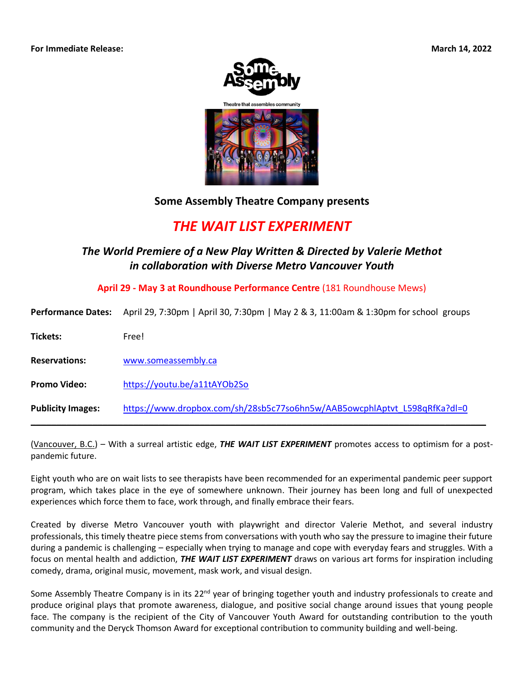



## **Some Assembly Theatre Company presents**

## *THE WAIT LIST EXPERIMENT*

## *The World Premiere of a New Play Written & Directed by Valerie Methot in collaboration with Diverse Metro Vancouver Youth*

**April 29 - May 3 at Roundhouse Performance Centre** (181 Roundhouse Mews)

| <b>Performance Dates:</b> | April 29, 7:30pm   April 30, 7:30pm   May 2 & 3, 11:00am & 1:30pm for school groups |
|---------------------------|-------------------------------------------------------------------------------------|
| Tickets:                  | Free!                                                                               |
| <b>Reservations:</b>      | www.someassembly.ca                                                                 |
| <b>Promo Video:</b>       | https://youtu.be/a11tAYOb2So                                                        |
| <b>Publicity Images:</b>  | https://www.dropbox.com/sh/28sb5c77so6hn5w/AAB5owcphlAptvt_L598qRfKa?dl=0           |

(Vancouver, B.C.) – With a surreal artistic edge, *THE WAIT LIST EXPERIMENT* promotes access to optimism for a postpandemic future.

Eight youth who are on wait lists to see therapists have been recommended for an experimental pandemic peer support program, which takes place in the eye of somewhere unknown. Their journey has been long and full of unexpected experiences which force them to face, work through, and finally embrace their fears.

Created by diverse Metro Vancouver youth with playwright and director Valerie Methot, and several industry professionals, this timely theatre piece stems from conversations with youth who say the pressure to imagine their future during a pandemic is challenging – especially when trying to manage and cope with everyday fears and struggles. With a focus on mental health and addiction, *THE WAIT LIST EXPERIMENT* draws on various art forms for inspiration including comedy, drama, original music, movement, mask work, and visual design.

Some Assembly Theatre Company is in its 22<sup>nd</sup> year of bringing together youth and industry professionals to create and produce original plays that promote awareness, dialogue, and positive social change around issues that young people face. The company is the recipient of the City of Vancouver Youth Award for outstanding contribution to the youth community and the Deryck Thomson Award for exceptional contribution to community building and well-being.